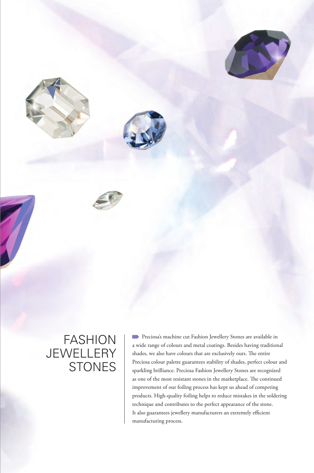



# FASHION **JEWELLERY STONES**

**Preciosa's machine cut Fashion Jewellery Stones are available in** a wide range of colours and metal coatings. Besides having traditional shades, we also have colours that are exclusively ours. The entire Preciosa colour palette guarantees stability of shades, perfect colour and sparkling brilliance. Preciosa Fashion Jewellery Stones are recognized as one of the most resistant stones in the marketplace. The continued improvement of our foiling process has kept us ahead of competing products. High-quality foiling helps to reduce mistakes in the soldering technique and contributes to the perfect appearance of the stone. It also guarantees jewellery manufacturers an extremely efficient manufacturing process.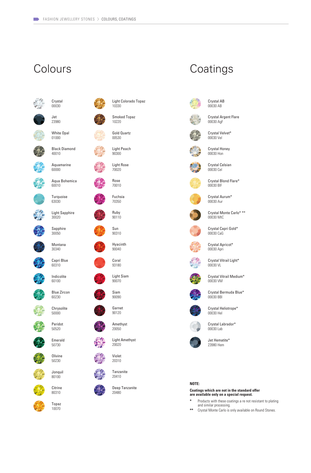



**Olivine** 50230 Jonquil



Topaz 10070



Light Colorado Topaz

Amethyst 20050

> Light Amethyst 20020



Tanzanite 20410

Deep Tanzanite 20480

## Colours Coatings



Crystal Velvet\* 00030 Vel

Crystal Argent Flare 00030 AgF

Crystal AB 00030 AB



Crystal Honey 00030 Hon

Crystal Celsian 00030 Cel



Crystal Blond Flare\* 00030 BlF

Crystal Aurum\* 00030 Aur

Crystal Monte Carlo\* \*\* 00030 MtC

Crystal Capri Gold\* 00030 CaG



00030 Apri

Crystal Vitrail Light\* 00030 VL



Crystal Bermuda Blue\* 00030 BBl



Crystal Heliotrope\* 00030 Hel



Crystal Labrador\* 00030 Lab

Jet Hematite\* 23980 Hem

#### **NOTE:**

**Coatings which are not in the standard offer are available only on a special request.**

- **\*** Products with these coatings a re not resistant to plating and similar processing.
- **\*\*** Crystal Monte Carlo is only available on Round Stones.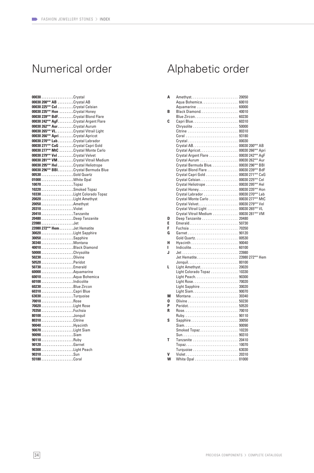| 00030Crystal                          |  |
|---------------------------------------|--|
| 00030 200** AB Crystal AB             |  |
| 00030 225** Cel Crystal Celsian       |  |
| 00030 235** Hon Crystal Honey         |  |
| 00030 239** BdF. Crystal Blond Flare  |  |
| 00030 242** AgF. Crystal Argent Flare |  |
| 00030 262** Aur. Crystal Aurum        |  |
| 00030 265** VL. Crystal Vitrail Light |  |
| 00030 266** Apri Crystal Apricot      |  |
| 00030 270** Lab. Crystal Labrador     |  |
| 00030 271** CaG Crystal Capri Gold    |  |
| 00030 277** MtC Crystal Monte Carlo   |  |
| 00030 279** Vel Crystal Velvet        |  |
| 00030 281** VM Crystal Vitrail Medium |  |
| 00030 295** HelCrystal Heliotrope     |  |
| 00030 296** BBI. Crystal Bermuda Blue |  |
| 00530Gold Quartz                      |  |
|                                       |  |
| 10070Topaz                            |  |
|                                       |  |
|                                       |  |
|                                       |  |
| 20050Amethyst                         |  |
| 20310 Violet                          |  |
| 20410Tanzanite                        |  |
| 20480Deep Tanzanite                   |  |
| 23980Jet                              |  |
|                                       |  |
|                                       |  |
| 23980 272** Hem Jet Hematite          |  |
|                                       |  |
| 30050Sapphire                         |  |
| 30340Montana                          |  |
|                                       |  |
| 50000Chrysolite                       |  |
|                                       |  |
| 50520 Peridot                         |  |
| 50730Emerald                          |  |
| 60000Aquamarine                       |  |
| 60010Aqua Bohemica                    |  |
| 60100Indicolite                       |  |
| 60230 Blue Zircon                     |  |
| 60310Capri Blue                       |  |
|                                       |  |
| 70010Rose                             |  |
|                                       |  |
| 70350Fuchsia                          |  |
| 80100Jonquil                          |  |
| 80310 Citrine                         |  |
| 90040Hyacinth                         |  |
| 90070Light Siam                       |  |
| 90090Siam                             |  |
| 90110Ruby                             |  |
| 90120Garnet                           |  |
|                                       |  |
| 90310Sun                              |  |

# Numerical order Alphabetic order

| Α | Amethyst 20050                        |  |
|---|---------------------------------------|--|
|   | Aqua Bohemica 60010                   |  |
|   |                                       |  |
| В |                                       |  |
|   | Blue Zircon 60230                     |  |
| C | Capri Blue 60310                      |  |
|   | Chrysolite  50000                     |  |
|   | Citrine  80310                        |  |
|   | Coral  93180                          |  |
|   | Crystal 00030                         |  |
|   |                                       |  |
|   | Crystal Apricot 00030 266** Apri      |  |
|   | Crystal Argent Flare  00030 242** AgF |  |
|   |                                       |  |
|   | Crystal Bermuda Blue 00030 296** BBI  |  |
|   | Crystal Blond Flare  00030 239** BdF  |  |
|   | Crystal Capri Gold 00030 271** CaG    |  |
|   | Crystal Celsian 00030 225** Cel       |  |
|   | Crystal Heliotrope 00030 295** Hel    |  |
|   | Crystal Honey 00030 235** Hon         |  |
|   | Crystal Labrador  00030 270** Lab     |  |
|   | Crystal Monte Carlo  00030 277** MtC  |  |
|   | Crystal Velvet 00030 279** Vel        |  |
|   | Crystal Vitrail Light 00030 265** VL  |  |
|   | Crystal Vitrail Medium 00030 281** VM |  |
| D | Deep Tanzanite  20480                 |  |
| E | Emerald 50730                         |  |
| F |                                       |  |
| G | Garnet 90120                          |  |
|   | Gold Quartz 00530                     |  |
| н | Hyacinth  90040                       |  |
| L | Indicolite 60100                      |  |
| J |                                       |  |
|   |                                       |  |
|   |                                       |  |
| L | Light Amethyst 20020                  |  |
|   | Light Colorado Topaz  10330           |  |
|   | Light Peach 90300                     |  |
|   | Light Rose 70020                      |  |
|   | Light Sapphire  30020                 |  |
|   | Light Siam 90070                      |  |
| М |                                       |  |
| 0 |                                       |  |
| P | Peridot 50520                         |  |
| R |                                       |  |
|   | Ruby 90110                            |  |
| S | Sapphire  30050                       |  |
|   | Siam 90090                            |  |
|   | Smoked Topaz 10220                    |  |
|   |                                       |  |
| Т | Tanzanite  20410                      |  |
|   | Topaz 10070                           |  |
|   | Turquoise  63030                      |  |
|   |                                       |  |
| w | White Opal  01000                     |  |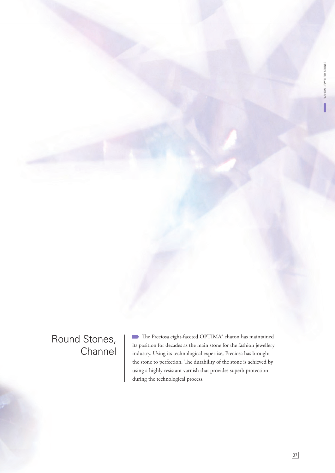# Round Stones, **Channel**

The Preciosa eight-faceted OPTIMA® chaton has maintained its position for decades as the main stone for the fashion jewellery industry. Using its technological expertise, Preciosa has brought the stone to perfection. The durability of the stone is achieved by using a highly resistant varnish that provides superb protection during the technological process.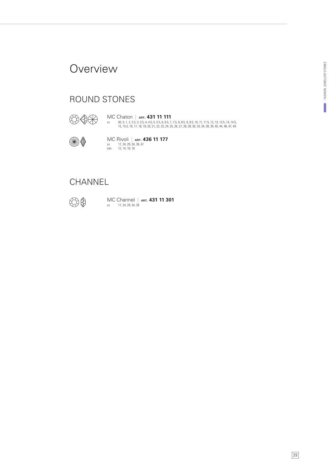### **Overview**

### ROUND STONES



ss 00, 0, 1, 2, 2.5, 3, 3.5, 4, 4.5, 5, 5.5, 6, 6.5, 7, 7.5, 8, 8.5, 9, 9.5, 10, 11, 11.5, 12, 13, 13.5, 14, 14.5, 15, 15.5, 16, 17, 18, 19, 20, 21, 22, 23, 24, 25, 26, 27, 28, 29, 30, 33, 34, 38, 39, 40, 44, 46, 47, 49 MC Chaton | **ART. 431 11 111**



ss 17, 24, 29, 34, 39, 47 mm 12, 14, 16, 18 MC Rivoli | **ART. 436 11 177**

### **CHANNEL**



ss 17, 24, 29, 34, 39 MC Channel | **ART. 431 11 301**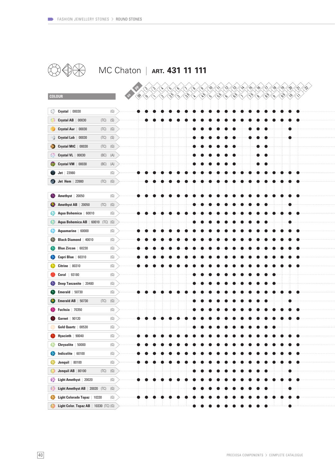

# **80 40 MC Chaton | ART. 431 11 111**

|    | <b>COLOUR</b>                            |                                   |
|----|------------------------------------------|-----------------------------------|
|    | $Crystal$   00030                        | (G)                               |
|    | Crystal AB $ 00030$                      | $\left( \text{S}\right)$<br>(TC)  |
|    | Crystal Aur<br>00030                     | (TC)<br>(G)                       |
|    | Crystal Lab  <br>00030                   | $\left( \text{S}\right)$<br>(TC)  |
|    | Crystal MtC   00030                      | $(\top \mathbb{C})$<br>(G)        |
|    | Crystal VL   00030                       | (BC)<br>(A)                       |
|    | Crystal VM   00030                       | (BC)<br>(A)                       |
|    | $Jet$   23980                            | (G)                               |
|    | <b>Jet Hem   23980</b>                   | $(\mathbb{G})$<br>(TC)            |
|    |                                          |                                   |
|    | Amethyst $ 20050$                        | (G)                               |
|    | Amethyst AB   20050                      | (G)<br>(TC)                       |
|    | Aqua Bohemica   60010                    | (G)                               |
|    | Aqua Bohemica AB   60010                 | (G)<br>(TC)                       |
|    | Aquamarine   60000                       | (G)                               |
|    | <b>Black Diamond</b>   40010             | (G)                               |
|    | Blue Zircon   60230                      | (G)                               |
|    | Capri Blue   60310                       | (G)                               |
|    | Citrine $ 80310$                         | (G)                               |
|    | <b>Coral</b> 93180                       | (G)                               |
|    | Deep Tanzanite   20480                   | (G)                               |
|    | <b>Emerald</b> $  50730$                 | (G)                               |
|    | <b>Emerald AB</b> $\mid$ 50730           | (TC)<br>(G)                       |
|    | <b>Fuchsia</b>   70350                   | (G)                               |
|    | Garnet   $90120$                         | (G)                               |
|    | Gold Quartz   00530                      | (G)                               |
|    | Hyacinth $ 90040$                        | (G)                               |
|    | Chrysolite   50000                       | (G)                               |
|    | Indicolite   60100                       | (G)                               |
|    | <b>Jonquil</b>   80100                   | (G)                               |
|    | Jonquil AB   80100                       | $(\mathsf{TC})$<br>$(\mathbb{G})$ |
| 69 | Light Amethyst   20020                   | (G)                               |
| 60 | Light Amethyst AB   20020 (TC)           | $(\mathbb{G})$                    |
|    | Light Colorado Topaz   10330             | (G)                               |
|    | Light Color. Topaz AB $ $ 10330 (TC) (G) |                                   |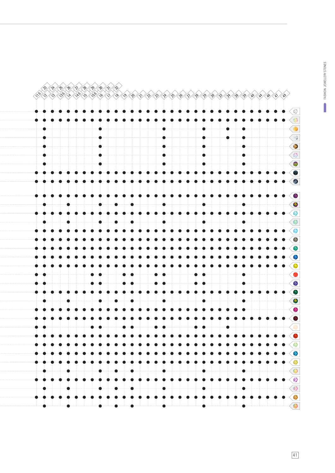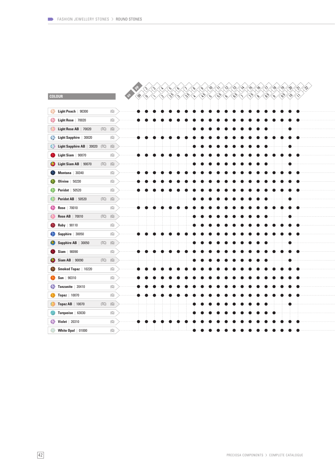|                                               |                | Þ<br>Xv.<br>$\langle \mathcal{S} \rangle$<br>≪<br>ko ko ko ko ko ko<br>$\left\langle \diamond \right\rangle$<br>≪∿ે<br>՜∿<br>८ू  <br>∕ \\<br>्५,<br>′ବ୍<br>્રુ<br>∶∿                                                                                                                                                             |
|-----------------------------------------------|----------------|----------------------------------------------------------------------------------------------------------------------------------------------------------------------------------------------------------------------------------------------------------------------------------------------------------------------------------|
| <b>COLOUR</b>                                 |                | $\sqrt[4]{\frac{1}{3}}$<br>$\left\langle \begin{smallmatrix} \textbf{S}^1 \ \textbf{S}^2 \end{smallmatrix} \right\rangle \left\langle \begin{smallmatrix} \textbf{S}^1 \ \textbf{S}^2 \end{smallmatrix} \right\rangle$<br>$\sqrt{\frac{16}{5}}$<br>৻৻ঌ৾৴৻৻<br>1691<br>$\sqrt{\frac{1}{2}}$<br>\$%\\$<br>{\$%€<br>O)<br>ભે<br>્રુ |
| Light Peach   90300                           | (G)            |                                                                                                                                                                                                                                                                                                                                  |
| Light Rose   70020                            | $(\mathbb{G})$ |                                                                                                                                                                                                                                                                                                                                  |
| Light Rose AB   70020<br>(TC)                 | (G)            |                                                                                                                                                                                                                                                                                                                                  |
| Light Sapphire   30020                        | (G)            |                                                                                                                                                                                                                                                                                                                                  |
| Light Sapphire AB   30020 (TC)                | (G)            |                                                                                                                                                                                                                                                                                                                                  |
| Light Siam $ 90070$                           | (G)            |                                                                                                                                                                                                                                                                                                                                  |
| Light Siam AB   90070<br>(TC)                 | (G)            |                                                                                                                                                                                                                                                                                                                                  |
| Montana $ 30340$                              | $(\mathbb{G})$ |                                                                                                                                                                                                                                                                                                                                  |
| <b>Olivine</b>   50230                        | (G)            |                                                                                                                                                                                                                                                                                                                                  |
| <b>Peridot</b>   $50520$                      | (G)            |                                                                                                                                                                                                                                                                                                                                  |
| Peridot AB   50520<br>(TC)                    | (G)            |                                                                                                                                                                                                                                                                                                                                  |
| Rose   70010                                  | (G)            |                                                                                                                                                                                                                                                                                                                                  |
| <b>Rose AB</b>   70010<br>(TC)                | (G)            |                                                                                                                                                                                                                                                                                                                                  |
| Ruby   90110                                  | (G)            |                                                                                                                                                                                                                                                                                                                                  |
| Sapphire $ 30050$                             | (G)            |                                                                                                                                                                                                                                                                                                                                  |
| Sapphire AB $ 30050$<br>(TC)                  | $(\mathbb{G})$ |                                                                                                                                                                                                                                                                                                                                  |
| $Siam$   90090                                | $(\mathbb{G})$ |                                                                                                                                                                                                                                                                                                                                  |
| <b>Siam AB</b>   90090<br>$(\top \mathbb{C})$ | (G)            |                                                                                                                                                                                                                                                                                                                                  |
| Smoked Topaz   10220                          | (G)            |                                                                                                                                                                                                                                                                                                                                  |
| Sun   $90310$                                 | (G)            |                                                                                                                                                                                                                                                                                                                                  |
| Tanzanite   20410                             | (G)            |                                                                                                                                                                                                                                                                                                                                  |
| <b>Topaz</b>   10070                          | (G)            |                                                                                                                                                                                                                                                                                                                                  |
| Topaz AB $ 10070$<br>(TC)                     | (G)            |                                                                                                                                                                                                                                                                                                                                  |
| Turquoise   63030                             | (G)            |                                                                                                                                                                                                                                                                                                                                  |
| <b>Violet</b>   20310                         | (G)            |                                                                                                                                                                                                                                                                                                                                  |
| White Opal $  01000$                          | (G)            |                                                                                                                                                                                                                                                                                                                                  |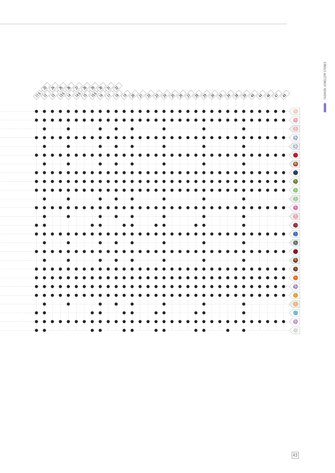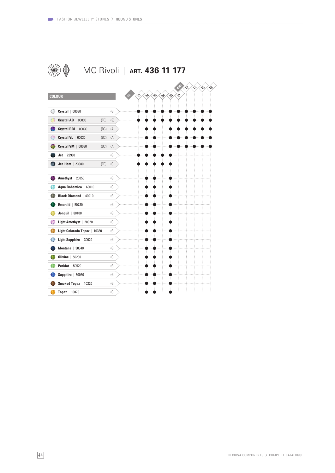|                                        | MC Rivoli   ART. 436 11 177                                                                                        |
|----------------------------------------|--------------------------------------------------------------------------------------------------------------------|
| <b>COLOUR</b>                          | $\hat{\mathcal{N}}$<br>$\mathcal{L}$<br>$\sim$<br>$\mathcal{S}$<br>$\gamma^{\lambda}$<br>g<br>138<br>139<br>♦<br>ŵ |
| Crystal   00030                        | (G)                                                                                                                |
| Crystal AB  <br>00030<br>(TC)          | (S)                                                                                                                |
| Crystal BBI<br>00030<br>(BC)           | (A)                                                                                                                |
| Crystal VL   00030<br>(BC)             | (A)                                                                                                                |
| Crystal VM  <br>00030<br>(BC)          | (A)                                                                                                                |
| $Jet$   23980                          | (G)                                                                                                                |
| Jet Hem   23980<br>(TC)                | (G)                                                                                                                |
| Amethyst   20050                       | (G)                                                                                                                |
| Aqua Bohemica<br>60010                 | (G)                                                                                                                |
| <b>Black Diamond   40010</b>           | (G)                                                                                                                |
| Emerald  <br>50730<br>Jonquil $ 80100$ | (G)                                                                                                                |
| ଈ<br>Light Amethyst   20020            | (G)<br>(G)                                                                                                         |
| Light Colorado Topaz<br>10330          | (G)                                                                                                                |
| <b>Light Sapphire</b><br>30020         | (G)                                                                                                                |
| Montana   30340                        | (G)                                                                                                                |
| Olivine<br>50230                       | (G)                                                                                                                |
| <b>Peridot</b>   50520                 | (G)                                                                                                                |
| Sapphire   30050                       | (G)                                                                                                                |
| Smoked Topaz<br>10220                  | (G)                                                                                                                |
| Topaz   10070                          | (G)                                                                                                                |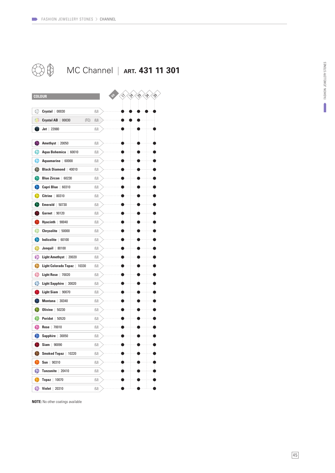



**NOTE:** No other coatings available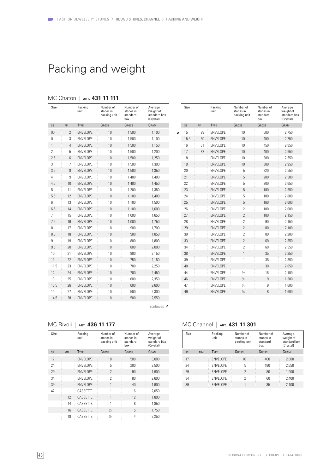# Packing and weight

| Size           |                          | Packing<br>unit  | Number of<br>stones in<br>packing unit | Number of<br>stones in<br>standard<br>box | Average<br>weight of<br>standard box<br>(Crystal) |
|----------------|--------------------------|------------------|----------------------------------------|-------------------------------------------|---------------------------------------------------|
| SS             | PP                       | <b>TYPE</b>      | GROSS                                  | GROSS                                     | GRAM                                              |
| 00             | $\overline{\phantom{a}}$ | <b>FNVFI OPF</b> | 10                                     | 1,500                                     | 1.100                                             |
| $\Omega$       | 3                        | <b>ENVELOPE</b>  | 10                                     | 1,500                                     | 1,100                                             |
| $\mathbf{1}$   | 4                        | <b>ENVELOPE</b>  | 10                                     | 1,500                                     | 1,150                                             |
| $\overline{2}$ | 5                        | <b>ENVELOPE</b>  | 10                                     | 1,500                                     | 1,200                                             |
| 2.5            | 6                        | <b>FNVFI OPF</b> | 10                                     | 1,500                                     | 1,250                                             |
| 3              | 7                        | <b>ENVELOPE</b>  | 10                                     | 1,500                                     | 1,300                                             |
| 3.5            | 8                        | <b>ENVELOPE</b>  | 10                                     | 1,500                                     | 1,350                                             |
| 4              | 9                        | <b>ENVELOPE</b>  | 10                                     | 1,400                                     | 1,400                                             |
| 4.5            | 10                       | <b>FNVFI OPF</b> | 10                                     | 1.400                                     | 1,450                                             |
| 5              | 11                       | <b>ENVELOPE</b>  | 10                                     | 1,200                                     | 1,350                                             |
| 5.5            | 12                       | <b>ENVELOPE</b>  | 10                                     | 1,100                                     | 1,400                                             |
| 6              | 13                       | <b>FNVFI OPF</b> | 10                                     | 1,100                                     | 1,500                                             |
| 6.5            | 14                       | <b>ENVELOPE</b>  | 10                                     | 1.100                                     | 1,600                                             |
| $\overline{7}$ | 15                       | <b>ENVELOPE</b>  | 10                                     | 1,000                                     | 1,650                                             |
| 7.5            | 16                       | <b>ENVELOPE</b>  | 10                                     | 1,000                                     | 1,750                                             |
| 8              | 17                       | <b>ENVELOPE</b>  | 10                                     | 900                                       | 1.700                                             |
| 8.5            | 18                       | <b>ENVELOPE</b>  | 10                                     | 900                                       | 1,850                                             |
| 9              | 19                       | <b>ENVELOPE</b>  | 10                                     | 800                                       | 1,800                                             |
| 9.5            | 20                       | <b>ENVELOPE</b>  | 10                                     | 800                                       | 2,000                                             |
| 10             | 21                       | <b>ENVELOPE</b>  | 10                                     | 800                                       | 2,150                                             |
| 11             | 22                       | <b>ENVELOPE</b>  | 10                                     | 750                                       | 2,150                                             |
| 11.5           | 23                       | <b>ENVELOPE</b>  | 10                                     | 700                                       | 2.250                                             |
| 12             | 24                       | <b>ENVELOPE</b>  | 10                                     | 700                                       | 2,450                                             |
| 13             | 25                       | <b>ENVELOPE</b>  | 10 <sup>1</sup>                        | 600                                       | 2,350                                             |
| 13.5           | 26                       | <b>ENVELOPE</b>  | 10                                     | 600                                       | 2,600                                             |
| 14             | 27                       | <b>ENVELOPE</b>  | 10                                     | 500                                       | 2,300                                             |
| 14.5           | 28                       | <b>ENVELOPE</b>  | 10                                     | 500                                       | 2,550                                             |

### MC Chaton | **ART. 431 11 111**

|   | Size |    | Packing<br>unit  | Number of<br>stones in<br>packing unit | Number of<br>stones in<br>standard<br>box | Average<br>weight of<br>standard box<br>(Crystal) |
|---|------|----|------------------|----------------------------------------|-------------------------------------------|---------------------------------------------------|
|   | SS   | PP | <b>TYPE</b>      | GROSS                                  | GROSS                                     | GRAM                                              |
| K | 15   | 29 | <b>FNVFI OPF</b> | 10                                     | 500                                       | 2.750                                             |
|   | 15.5 | 30 | <b>FNVFI OPF</b> | 10                                     | 450                                       | 2,750                                             |
|   | 16   | 31 | <b>FNVFI OPF</b> | 10                                     | 450                                       | 2,850                                             |
|   | 17   | 32 | <b>FNVFI OPF</b> | 10                                     | 400                                       | 2,950                                             |
|   | 18   |    | <b>FNVFI OPF</b> | 10                                     | 300                                       | 2,550                                             |
|   | 19   |    | <b>FNVFI OPF</b> | 10                                     | 300                                       | 2,950                                             |
|   | 20   |    | <b>FNVFI OPF</b> | 5                                      | 220                                       | 2,550                                             |
|   | 21   |    | <b>FNVFI OPF</b> | 5                                      | 200                                       | 2,500                                             |
|   | 22   |    | <b>FNVFI OPF</b> | 5                                      | 200                                       | 2.650                                             |
|   | 23   |    | <b>ENVELOPE</b>  | 5                                      | 180                                       | 2.550                                             |
|   | 24   |    | <b>FNVFI OPF</b> | 5                                      | 180                                       | 2.800                                             |
|   | 25   |    | <b>ENVELOPE</b>  | 5                                      | 160                                       | 2.600                                             |
|   | 26   |    | <b>FNVFI OPF</b> | $\overline{2}$                         | 100                                       | 2.000                                             |
|   | 27   |    | <b>FNVFI OPF</b> | $\overline{\phantom{a}}$               | 100                                       | 2,150                                             |
|   | 28   |    | <b>FNVFI OPF</b> | $\overline{2}$                         | 90                                        | 2.150                                             |
|   | 29   |    | <b>FNVFI OPF</b> | $\overline{\phantom{a}}$               | 80                                        | 2,100                                             |
|   | 30   |    | <b>FNVFI OPF</b> | $\overline{2}$                         | 80                                        | 2.200                                             |
|   | 33   |    | <b>FNVFI OPF</b> | $\overline{\phantom{a}}$               | 60                                        | 2,350                                             |
|   | 34   |    | <b>FNVFI OPF</b> | $\overline{\phantom{a}}$               | 60                                        | 2,550                                             |
|   | 38   |    | <b>FNVFI OPF</b> | 1                                      | 35                                        | 2.250                                             |
|   | 39   |    | <b>ENVELOPE</b>  | 1                                      | 35                                        | 2.350                                             |
|   | 40   |    | <b>ENVELOPE</b>  | 1                                      | 30                                        | 2.050                                             |
|   | 44   |    | <b>FNVFI OPF</b> | $\frac{1}{2}$                          | 16                                        | 2,100                                             |
|   | 46   |    | <b>ENVELOPE</b>  | $\frac{1}{4}$                          | 9                                         | 1.300                                             |
|   | 47   |    | <b>FNVFI OPF</b> | $\frac{1}{4}$                          | 9                                         | 1,600                                             |
|   | 49   |    | <b>FNVFI OPF</b> | $\frac{1}{4}$                          | 8                                         | 1,600                                             |
|   |      |    |                  |                                        |                                           |                                                   |

continues  $\lambda$ 

#### MC Rivoli | **ART. 436 11 177**

| Size |           | Packing<br>unit  | Number of<br>stones in<br>packing unit | Number of<br>stones in<br>standard<br>hox | Average<br>weight of<br>standard box<br>(Crystal) |
|------|-----------|------------------|----------------------------------------|-------------------------------------------|---------------------------------------------------|
| SS   | <b>MM</b> | <b>TYPE</b>      | GROSS                                  | GROSS                                     | GRAM                                              |
| 17   |           | <b>FNVFI OPF</b> | 10                                     | 500                                       | 3,000                                             |
| 24   |           | <b>FNVFI OPF</b> | 5                                      | 200                                       | 2.500                                             |
| 29   |           | <b>FNVFI OPF</b> | $\mathfrak{p}$                         | 90                                        | 1.900                                             |
| 34   |           | <b>FNVFI OPF</b> | $\overline{\phantom{a}}$               | 80                                        | 2.600                                             |
| 39   |           | <b>FNVFI OPF</b> | 1                                      | 40                                        | 1,900                                             |
| 47   |           | CASSETTE         | 1                                      | 16                                        | 2.050                                             |
|      | 12        | CASSETTE         | 1                                      | 12                                        | 1.800                                             |
|      | 14        | CASSETTE         | 1                                      | 8                                         | 1.850                                             |
|      | 16        | CASSETTE         | 1/2                                    | 5                                         | 1,750                                             |
|      | 18        | CASSETTE         | 1/2                                    | 4                                         | 2.250                                             |

#### MC Channel | **ART. 431 11 301**

| Size |           | Packing<br>unit  | Number of<br>stones in<br>packing unit | Number of<br>stones in<br>standard<br>hox | Average<br>weight of<br>standard box<br>(Crystal) |
|------|-----------|------------------|----------------------------------------|-------------------------------------------|---------------------------------------------------|
| SS   | <b>MM</b> | <b>TYPE</b>      | GROSS                                  | GROSS                                     | GRAM                                              |
| 17   |           | <b>ENVELOPE</b>  | 10                                     | 400                                       | 2,800                                             |
| 24   |           | <b>FNVFI OPF</b> | 5                                      | 180                                       | 2,650                                             |
| 29   |           | <b>FNVFI OPF</b> | $\mathcal{P}$                          | 80                                        | 1.900                                             |
| 34   |           | <b>ENVELOPE</b>  | $\mathcal{P}$                          | 60                                        | 2.400                                             |
| 39   |           | <b>ENVELOPE</b>  |                                        | 35                                        | 2,100                                             |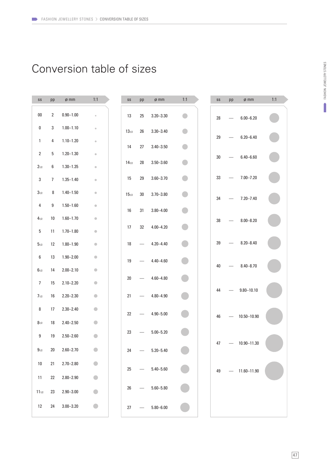# Conversion table of sizes

| SS             | pp              | $\emptyset$ mm | 1:1                       | SS         | pp | $\emptyset$ mm | 1:1       | SS | pp | $\phi$ mm         | 1:1 |
|----------------|-----------------|----------------|---------------------------|------------|----|----------------|-----------|----|----|-------------------|-----|
| $00\,$         | $\mathbf{2}$    | $0.90 - 1.00$  | $\circ$                   | 13         | 25 | $3.20 - 3.30$  | $\bullet$ | 28 |    | $6.00 - 6.20$     |     |
| 0              | 3               | $1.00 - 1.10$  | $\circ$                   | $13_{1/2}$ | 26 | $3.30 - 3.40$  |           |    |    |                   |     |
| $\mathbf{1}$   | 4               | $1.10 - 1.20$  | $\circ$                   | 14         | 27 | $3.40 - 3.50$  |           | 29 |    | $6.20 - 6.40$     |     |
| $\overline{2}$ | 5               | $1.20 - 1.30$  | $\circ$                   |            |    |                |           | 30 |    | $6.40 - 6.60$     |     |
| $2_{1/2}$      | 6               | $1.30 - 1.35$  | $\hfill\text{\rm\tiny 0}$ | $14_{1/2}$ | 28 | $3.50 - 3.60$  |           |    |    |                   |     |
| 3              | $7\overline{ }$ | $1.35 - 1.40$  | $\hskip 1.6cm \circ$      | 15         | 29 | $3.60 - 3.70$  |           | 33 |    | $7.00 - 7.20$     |     |
| $3_{1/2}$      | 8               | $1.40 - 1.50$  | $\bullet$                 | $15_{1/2}$ | 30 | $3.70 - 3.80$  |           | 34 |    | $7.20 - 7.40$     |     |
| 4              | 9               | $1.50 - 1.60$  | $\color{black} \bullet$   | 16         | 31 | $3.80 - 4.00$  |           |    |    |                   |     |
| $4_{1/2}$      | 10              | $1.60 - 1.70$  | $\color{black} \bullet$   |            |    |                |           | 38 |    | $8.00 - 8.20$     |     |
| 5              | 11              | $1.70 - 1.80$  | $\bullet$                 | 17         | 32 | $4.00 - 4.20$  |           |    |    |                   |     |
| $5_{1/2}$      | 12              | $1.80 - 1.90$  | $\bullet$                 | 18         |    | $4.20 - 4.40$  |           | 39 |    | $8.20 - 8.40$     |     |
| 6              | 13              | $1.90 - 2.00$  | $\bullet$                 | 19         |    | $4.40 - 4.60$  |           |    |    |                   |     |
| $6_{1/2}$      | 14              | $2.00 - 2.10$  | $\bullet$                 |            |    |                |           | 40 |    | $8.40 - 8.70$     |     |
| $\overline{7}$ | 15              | $2.10 - 2.20$  | $\bullet$                 | 20         |    | $4.60 - 4.80$  |           |    |    |                   |     |
| $7_{1/2}$      | 16              | $2.20 - 2.30$  | $\bullet$                 | 21         |    | $4.80 - 4.90$  |           | 44 |    | $9.80 - 10.10$    |     |
| 8              | 17              | $2.30 - 2.40$  | $\bullet$                 | 22         |    | $4.90 - 5.00$  |           |    |    |                   |     |
| $8_{1/2}$      | 18              | $2.40 - 2.50$  | $\bullet$                 |            |    |                |           | 46 |    | 10.50-10.90       |     |
| 9              | 19              | $2.50 - 2.60$  | $\bullet$                 | 23         |    | $5.00 - 5.20$  |           |    |    |                   |     |
| $9_{1/2}$      | 20              | $2.60 - 2.70$  | $\bullet$                 | 24         |    | $5.20 - 5.40$  |           | 47 |    | $- 10.90 - 11.30$ |     |
| $10\,$         | 21              | $2.70 - 2.80$  | $\bullet$                 |            |    |                |           |    |    |                   |     |
| 11             | 22              | $2.80 - 2.90$  | $\bigcirc$                | 25         |    | $5.40 - 5.60$  |           | 49 |    | $- 11.60 - 11.90$ |     |
| $11_{1/2}$     | 23              | $2.90 - 3.00$  | $\bullet$                 | 26         |    | $5.60 - 5.80$  |           |    |    |                   |     |
| 12             | 24              | $3.00 - 3.20$  | $\bullet$                 | 27         |    | $5.80 - 6.00$  |           |    |    |                   |     |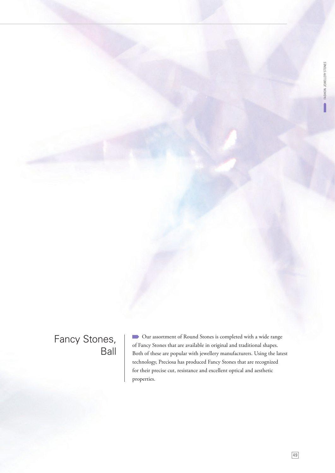## Fancy Stones, Ball

 Our assortment of Round Stones is completed with a wide range of Fancy Stones that are available in original and traditional shapes. Both of these are popular with jewellery manufacturers. Using the latest technology, Preciosa has produced Fancy Stones that are recognized for their precise cut, resistance and excellent optical and aesthetic properties.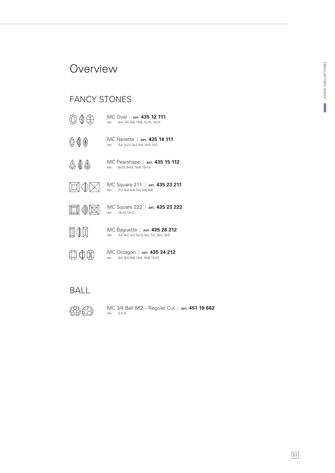### **Overview**

### FANCY STONES

- $\bigcircledR \oplus \bigcircledR$ MC Oval | **ART. 435 12 111** mm 6×4, 7×5, 8×6, 10×8, 12×10, 14×10 MC Navette | ART. 435 14 111 000 mm 4×2, 5×2.5, 6×3, 8×4, 10×5, 15×7  $\bigcircledA \oplus \bigcircledA$ MC Pearshape | **ART. 435 15 112** mm 6×3.6, 8×4.8, 10×6, 13×7.8  $\Box \Diamond$ MC Square 211 | **ART. 435 23 211**  $\times$ mm 2×2, 3×3, 4×4, 5×5, 6×6, 8×8 MC Square 222 | **ART. 435 23 222**  $\square \, \mathbb{0} \boxtimes$ mm 10×10, 12×12 **NOX** MC Baguette | **ART. 435 26 212** mm 3×2, 4×2, 5×2, 5×2.5, 6×2, 7×3, 10×3, 10×5  $\boxplus \oplus \boxplus$ MC Octagon | **ART. 435 34 212** mm 6×4, 8×4, 8×6, 10×5, 10×8, 12×10
- BALL
- **MA**

mm 4, 6, 8 MC 3/4 Ball 662 – Regular Cut | **ART. 451 19 662**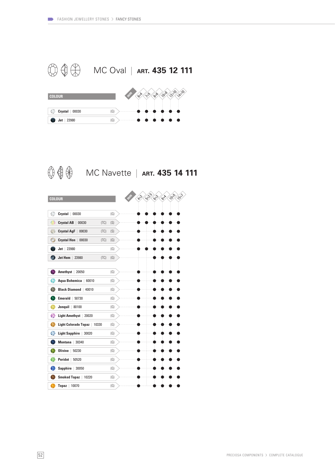



 **↓ ↓ 111 MC Navette | ART. 435 14 111** 

| <b>COLOUR</b>                        |      |     | 5715<br>10%<br>的<br>$\begin{matrix} \downarrow \\ \downarrow \\ \downarrow \end{matrix}$<br>673<br><b>BHA</b> |
|--------------------------------------|------|-----|---------------------------------------------------------------------------------------------------------------|
|                                      |      |     |                                                                                                               |
| ◎<br>Crystal<br>00030                |      | (G) |                                                                                                               |
| Ģ<br><b>Crystal AB</b><br>00030      | (TC) | (S) |                                                                                                               |
| <b>Crystal AgF</b><br>00030          | (TC) | (S) |                                                                                                               |
| <b>Crystal Hon</b><br>00030          | (TC) | (G) |                                                                                                               |
| 23980<br>Jet                         |      | (G) |                                                                                                               |
| <b>Jet Hem</b><br>23980              | (TC) | (G) |                                                                                                               |
|                                      |      |     |                                                                                                               |
| Amethyst  <br>20050                  |      | (G) |                                                                                                               |
| Aqua Bohemica<br>ω<br>60010          |      | (G) |                                                                                                               |
| <b>Black Diamond</b><br>40010        |      | (G) |                                                                                                               |
| Emerald  <br>50730                   |      | (G) |                                                                                                               |
| Jonquil<br>80100                     |      | (G) |                                                                                                               |
| ଈ<br>Light Amethyst<br>20020         |      | (G) |                                                                                                               |
| Light Colorado Topaz<br>63<br>10330  |      | (G) |                                                                                                               |
| đ.<br><b>Light Sapphire</b><br>30020 |      | (G) |                                                                                                               |
| <b>Montana</b><br>30340              |      | (G) |                                                                                                               |
| <b>Olivine</b><br>50230              |      | (G) |                                                                                                               |
| Peridot<br>50520                     |      | (G) |                                                                                                               |
| Sapphire  <br>30050<br>g.            |      | (G) |                                                                                                               |
| <b>Smoked Topaz</b><br>10220         |      | (G) |                                                                                                               |
| 10070<br><b>Topaz</b>                |      | (G) |                                                                                                               |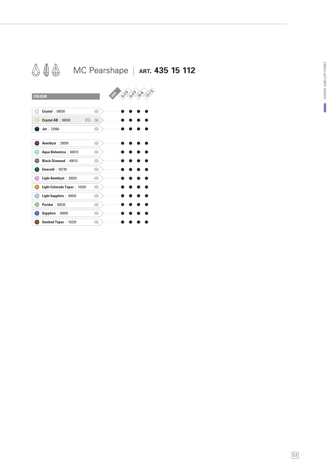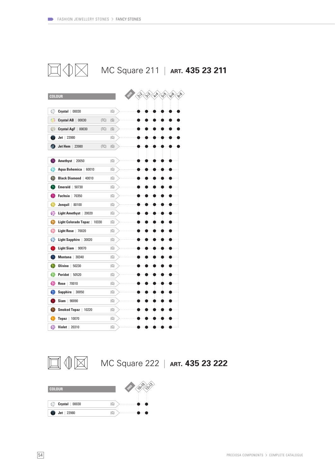

**MC Square 211 | ART. 435 23 211** 



 $\mathbb{I} \oplus \mathbb{N}$ 

MC Square 222 | **ART. 435 23 222**

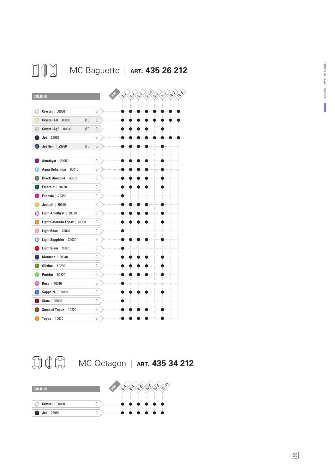



**MC Octagon | ART. 435 34 212** 

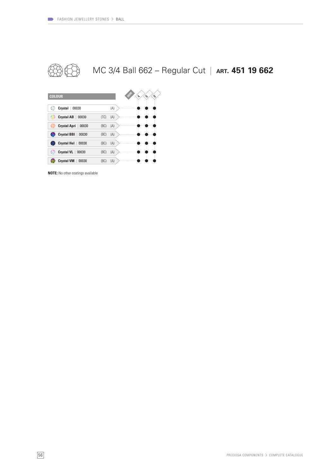

MC 3/4 Ball 662 – Regular Cut | **ART. 451 19 662**



**NOTE:** No other coatings available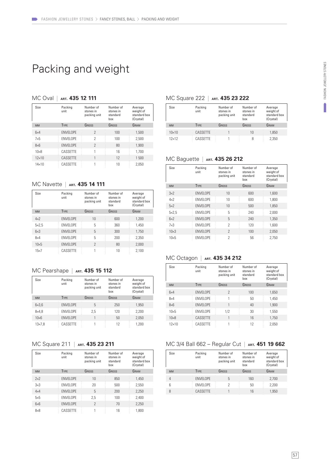### Packing and weight

### MC Oval | **ART. 435 12 111**

| Size         | Packing<br>unit  | Number of<br>stones in<br>packing unit | Number of<br>stones in<br>standard<br>hox | Average<br>weight of<br>standard box<br>(Crystal) |
|--------------|------------------|----------------------------------------|-------------------------------------------|---------------------------------------------------|
| <b>MM</b>    | <b>TYPE</b>      | GROSS                                  | GROSS                                     | GRAM                                              |
| $6\times4$   | <b>ENVELOPE</b>  | $\mathcal{P}$                          | 100                                       | 1,500                                             |
| $7\times5$   | <b>FNVFI OPF</b> | 2                                      | 100                                       | 2,500                                             |
| $8\times 6$  | <b>ENVELOPE</b>  | $\mathcal{P}$                          | 80                                        | 1.900                                             |
| $10\times8$  | CASSETTE         | 1                                      | 16                                        | 1,700                                             |
| $12\times10$ | CASSETTE         | 1                                      | 12                                        | 1500                                              |
| $14\times10$ | CASSETTE         |                                        | $10^{1}$                                  | 2,050                                             |

#### MC Navette | ART. 435 14 111

| Size         | Packing<br>unit  | Number of<br>stones in<br>packing unit | Number of<br>stones in<br>standard<br>hox | Average<br>weight of<br>standard box<br>(Crystal) |
|--------------|------------------|----------------------------------------|-------------------------------------------|---------------------------------------------------|
| <b>MM</b>    | <b>TYPE</b>      | GROSS                                  | GROSS                                     | GRAM                                              |
| $4\times$    | <b>ENVELOPE</b>  | 10                                     | 600                                       | 1.200                                             |
| $5\times2.5$ | <b>FNVFI OPF</b> | 5                                      | 360                                       | 1.450                                             |
| $6\times3$   | <b>ENVELOPE</b>  | 5                                      | 300                                       | 1,750                                             |
| $8\times4$   | <b>FNVFI OPF</b> | 5                                      | 200                                       | 2.350                                             |
| $10\times 5$ | <b>ENVELOPE</b>  | $\mathcal{P}$                          | 80                                        | 2,000                                             |
| $15\times7$  | CASSFTTF         | 1                                      | 10                                        | 2,100                                             |

### MC Pearshape | **ART. 435 15 112**

| Size          | Packing<br>unit  | Number of<br>stones in<br>packing unit | Number of<br>stones in<br>standard<br>box | Average<br>weight of<br>standard box<br>(Crystal) |
|---------------|------------------|----------------------------------------|-------------------------------------------|---------------------------------------------------|
| <b>MM</b>     | <b>TYPE</b>      | GROSS                                  | GROSS                                     | GRAM                                              |
| $6\times3.6$  | <b>FNVFI OPF</b> | 5                                      | 250                                       | 1.950                                             |
| $8\times 4.8$ | <b>FNVFI OPF</b> | 2.5                                    | 120                                       | 2.200                                             |
| $10\times 6$  | <b>FNVFI OPF</b> |                                        | 50                                        | 2.050                                             |
| 13×7.8        | CASSETTE         |                                        | 12                                        | 1.200                                             |

### MC Square 211 | **ART. 435 23 211**

| Size        | Packing<br>unit  | Number of<br>stones in<br>packing unit | Number of<br>stones in<br>standard<br>hox | Average<br>weight of<br>standard box<br>(Crystal) |
|-------------|------------------|----------------------------------------|-------------------------------------------|---------------------------------------------------|
| <b>MM</b>   | <b>TYPE</b>      | GROSS                                  | GROSS                                     | GRAM                                              |
| 2x2         | <b>FNVFI OPF</b> | 10                                     | 850                                       | 1,450                                             |
| $3\times3$  | <b>FNVFI OPF</b> | 20                                     | 500                                       | 2.550                                             |
| $4\times4$  | <b>FNVFI OPF</b> | 5                                      | 200                                       | 2.250                                             |
| $5\times5$  | <b>FNVFI OPF</b> | 2.5                                    | 100                                       | 2,400                                             |
| $6\times 6$ | <b>FNVFI OPF</b> | $\mathcal{P}$                          | 70                                        | 2,250                                             |
| $8\times8$  | CASSETTE         | 1                                      | 16                                        | 1.800                                             |

#### MC Square 222 | **ART. 435 23 222**

| Size         | Packing<br>unit | Number of<br>stones in<br>packing unit | Number of<br>stones in<br>standard<br>hox | Average<br>weight of<br>standard box<br>(Crystal) |
|--------------|-----------------|----------------------------------------|-------------------------------------------|---------------------------------------------------|
| <b>MM</b>    | <b>TYPE</b>     | GROSS                                  | GROSS                                     | GRAM                                              |
| $10\times10$ | CASSETTE        |                                        | 10                                        | 1,850                                             |
| $12\times12$ | CASSETTE        |                                        | 8                                         | 2.350                                             |

#### MC Baguette | **ART. 435 26 212**

| Size         | Packing<br>unit  | Number of<br>stones in<br>packing unit | Number of<br>stones in<br>standard<br>box | Average<br>weight of<br>standard box<br>(Crystal) |
|--------------|------------------|----------------------------------------|-------------------------------------------|---------------------------------------------------|
| <b>MM</b>    | <b>TYPE</b>      | GROSS                                  | GROSS                                     | GRAM                                              |
| 3x2          | <b>FNVFI OPF</b> | 10                                     | 600                                       | 1.600                                             |
| $4\times$    | <b>FNVFI OPF</b> | 10                                     | 600                                       | 1.800                                             |
| 5x2          | <b>FNVFI OPF</b> | 10                                     | 500                                       | 1,850                                             |
| $5\times2.5$ | <b>FNVFI OPF</b> | 5                                      | 240                                       | 2.000                                             |
| $6x^2$       | <b>FNVFI OPF</b> | 5                                      | 240                                       | 1.350                                             |
| $7\times3$   | <b>FNVFI OPF</b> | $\mathcal{P}$                          | 120                                       | 1.600                                             |
| $10\times3$  | <b>ENVELOPE</b>  | $\mathcal{P}$                          | 100                                       | 2.050                                             |
| $10\times 5$ | <b>FNVFI OPF</b> | 2                                      | 56                                        | 2.750                                             |

#### MC Octagon | **ART. 435 34 212**

| Size         | Packing<br>unit  | Number of<br>stones in<br>packing unit | Number of<br>stones in<br>standard<br>hox | Average<br>weight of<br>standard box<br>(Crystal) |
|--------------|------------------|----------------------------------------|-------------------------------------------|---------------------------------------------------|
| <b>MM</b>    | <b>TYPE</b>      | GROSS                                  | GROSS                                     | GRAM                                              |
| $6\times4$   | <b>ENVELOPE</b>  | $\mathcal{P}$                          | 100                                       | 1,650                                             |
| $8\times4$   | <b>FNVFI OPF</b> | 1                                      | 50                                        | 1,450                                             |
| $8\times 6$  | <b>ENVELOPE</b>  | 1                                      | 40                                        | 1.900                                             |
| $10\times 5$ | <b>ENVELOPE</b>  | 1/2                                    | 30                                        | 1,550                                             |
| $10\times8$  | CASSETTE         | 1                                      | 16                                        | 1,750                                             |
| $12\times10$ | CASSETTE         | 1                                      | 12                                        | 2,050                                             |

#### MC 3/4 Ball 662 – Regular Cut | **ART. 451 19 662**

| Size      | Packing<br>unit  | Number of<br>stones in<br>packing unit | Number of<br>stones in<br>standard<br>hox | Average<br>weight of<br>standard box<br>(Crystal) |
|-----------|------------------|----------------------------------------|-------------------------------------------|---------------------------------------------------|
| <b>MM</b> | <b>TYPE</b>      | GROSS                                  | GROSS                                     | GRAM                                              |
| 4         | <b>FNVFI OPF</b> | 5                                      | 160                                       | 2,700                                             |
| 6         | <b>FNVFI OPF</b> | 2                                      | 50                                        | 2.200                                             |
| 8         | CASSETTE         |                                        | 16                                        | 1,950                                             |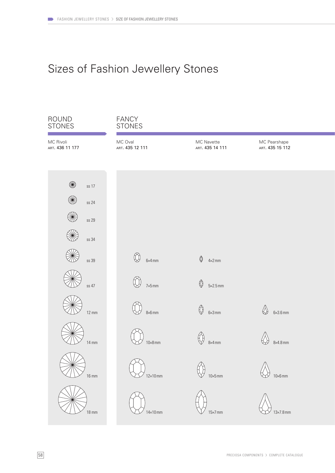## Sizes of Fashion Jewellery Stones